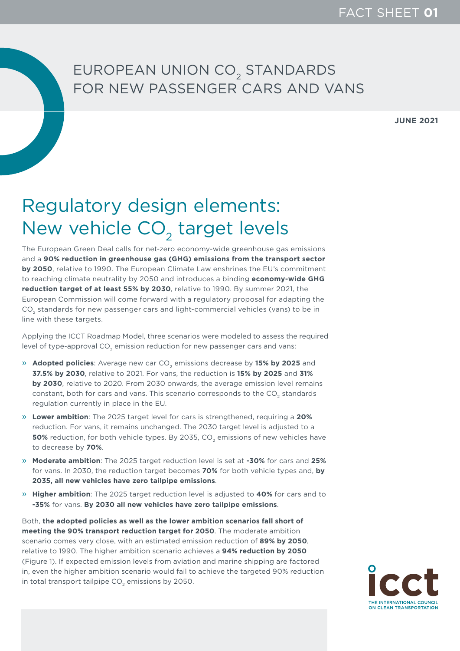## EUROPEAN UNION CO<sub>2</sub> STANDARDS FOR NEW PASSENGER CARS AND VANS

**JUNE 2021**

## Regulatory design elements: New vehicle CO<sub>2</sub> target levels

The European Green Deal calls for net-zero economy-wide greenhouse gas emissions and a **90% reduction in greenhouse gas (GHG) emissions from the transport sector by 2050**, relative to 1990. The European Climate Law enshrines the EU's commitment to reaching climate neutrality by 2050 and introduces a binding **economy-wide GHG reduction target of at least 55% by 2030**, relative to 1990. By summer 2021, the European Commission will come forward with a regulatory proposal for adapting the CO<sub>2</sub> standards for new passenger cars and light-commercial vehicles (vans) to be in line with these targets.

Applying the ICCT Roadmap Model, three scenarios were modeled to assess the required level of type-approval CO<sub>2</sub> emission reduction for new passenger cars and vans:

- » **Adopted policies**: Average new car CO<sub>2</sub> emissions decrease by 15% by 2025 and **37.5% by 2030**, relative to 2021. For vans, the reduction is **15% by 2025** and **31% by 2030**, relative to 2020. From 2030 onwards, the average emission level remains constant, both for cars and vans. This scenario corresponds to the CO<sub>2</sub> standards regulation currently in place in the EU.
- » **Lower ambition**: The 2025 target level for cars is strengthened, requiring a **20%** reduction. For vans, it remains unchanged. The 2030 target level is adjusted to a **50%** reduction, for both vehicle types. By 2035, CO<sub>2</sub> emissions of new vehicles have to decrease by **70%**.
- » **Moderate ambition**: The 2025 target reduction level is set at **-30%** for cars and **25%** for vans. In 2030, the reduction target becomes **70%** for both vehicle types and, **by 2035, all new vehicles have zero tailpipe emissions**.
- » **Higher ambition**: The 2025 target reduction level is adjusted to **40%** for cars and to **-35%** for vans. **By 2030 all new vehicles have zero tailpipe emissions**.

Both, **the adopted policies as well as the lower ambition scenarios fall short of meeting the 90% transport reduction target for 2050**. The moderate ambition scenario comes very close, with an estimated emission reduction of **89% by 2050**, relative to 1990. The higher ambition scenario achieves a **94% reduction by 2050** [\(Figure](#page-1-0) 1). If expected emission levels from aviation and marine shipping are factored in, even the higher ambition scenario would fail to achieve the targeted 90% reduction in total transport tailpipe CO<sub>2</sub> emissions by 2050.

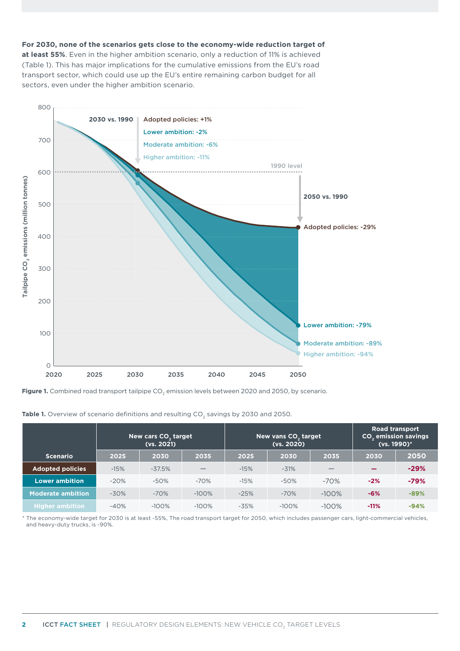**For 2030, none of the scenarios gets close to the economy-wide reduction target of at least 55%**. Even in the higher ambition scenario, only a reduction of 11% is achieved ([Tabl](#page-1-1)e 1). This has major implications for the cumulative emissions from the EU's road transport sector, which could use up the EU's entire remaining carbon budget for all sectors, even under the higher ambition scenario.



<span id="page-1-0"></span>Figure 1. Combined road transport tailpipe CO<sub>2</sub> emission levels between 2020 and 2050, by scenario.

<span id="page-1-1"></span>

| Table 1. Overview of scenario definitions and resulting CO <sub>2</sub> savings by 2030 and 2050. |  |  |  |  |
|---------------------------------------------------------------------------------------------------|--|--|--|--|
|---------------------------------------------------------------------------------------------------|--|--|--|--|

|                          | New cars CO <sub>2</sub> target<br>(vs. 2021) |          |         | New vans CO <sub>2</sub> target<br>(vs. 2020) |         |          | <b>Road transport</b><br>CO <sub>2</sub> emission savings<br>(vs. 1990)* |        |
|--------------------------|-----------------------------------------------|----------|---------|-----------------------------------------------|---------|----------|--------------------------------------------------------------------------|--------|
| <b>Scenario</b>          | 2025                                          | 2030     | 2035    | 2025                                          | 2030    | 2035     | 2030                                                                     | 2050   |
| <b>Adopted policies</b>  | $-15%$                                        | $-37.5%$ |         | $-15%$                                        | $-31%$  |          |                                                                          | $-29%$ |
| <b>Lower ambition</b>    | $-20%$                                        | $-50\%$  | $-70%$  | $-15%$                                        | $-50%$  | $-70\%$  | $-2%$                                                                    | -79%   |
| <b>Moderate ambition</b> | $-30%$                                        | $-70%$   | $-100%$ | $-25%$                                        | $-70%$  | $-100\%$ | $-6%$                                                                    | $-89%$ |
| <b>Higher ambition</b>   | $-40%$                                        | $-100%$  | $-100%$ | $-35%$                                        | $-100%$ | $-100\%$ | $-11%$                                                                   | $-94%$ |

\* The economy-wide target for 2030 is at least -55%, The road transport target for 2050, which includes passenger cars, light-commercial vehicles, and heavy-duty trucks, is -90%.